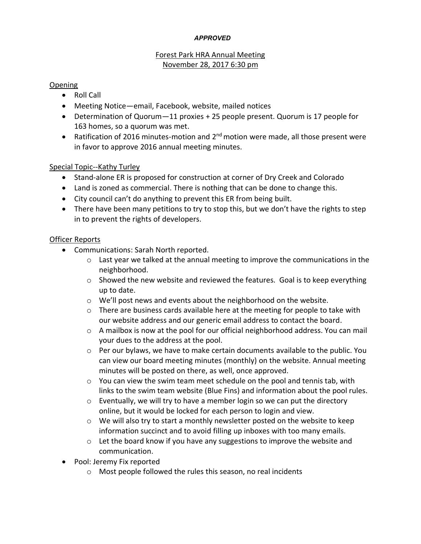#### *APPROVED*

# Forest Park HRA Annual Meeting November 28, 2017 6:30 pm

### Opening

- Roll Call
- Meeting Notice—email, Facebook, website, mailed notices
- Determination of Quorum—11 proxies + 25 people present. Quorum is 17 people for 163 homes, so a quorum was met.
- Ratification of 2016 minutes-motion and  $2^{nd}$  motion were made, all those present were in favor to approve 2016 annual meeting minutes.

## Special Topic--Kathy Turley

- Stand-alone ER is proposed for construction at corner of Dry Creek and Colorado
- Land is zoned as commercial. There is nothing that can be done to change this.
- City council can't do anything to prevent this ER from being built.
- There have been many petitions to try to stop this, but we don't have the rights to step in to prevent the rights of developers.

## Officer Reports

- Communications: Sarah North reported.
	- $\circ$  Last year we talked at the annual meeting to improve the communications in the neighborhood.
	- $\circ$  Showed the new website and reviewed the features. Goal is to keep everything up to date.
	- o We'll post news and events about the neighborhood on the website.
	- $\circ$  There are business cards available here at the meeting for people to take with our website address and our generic email address to contact the board.
	- $\circ$  A mailbox is now at the pool for our official neighborhood address. You can mail your dues to the address at the pool.
	- o Per our bylaws, we have to make certain documents available to the public. You can view our board meeting minutes (monthly) on the website. Annual meeting minutes will be posted on there, as well, once approved.
	- $\circ$  You can view the swim team meet schedule on the pool and tennis tab, with links to the swim team website (Blue Fins) and information about the pool rules.
	- o Eventually, we will try to have a member login so we can put the directory online, but it would be locked for each person to login and view.
	- $\circ$  We will also try to start a monthly newsletter posted on the website to keep information succinct and to avoid filling up inboxes with too many emails.
	- o Let the board know if you have any suggestions to improve the website and communication.
- Pool: Jeremy Fix reported
	- o Most people followed the rules this season, no real incidents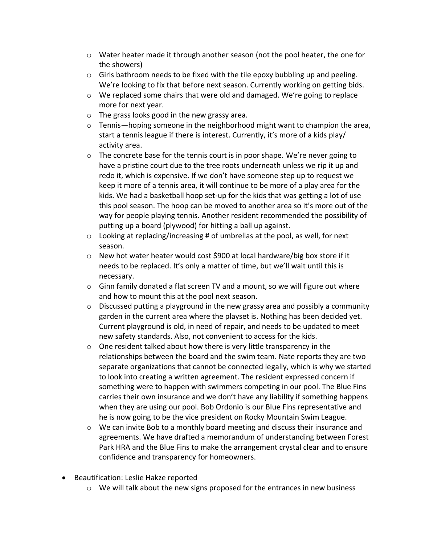- $\circ$  Water heater made it through another season (not the pool heater, the one for the showers)
- $\circ$  Girls bathroom needs to be fixed with the tile epoxy bubbling up and peeling. We're looking to fix that before next season. Currently working on getting bids.
- $\circ$  We replaced some chairs that were old and damaged. We're going to replace more for next year.
- o The grass looks good in the new grassy area.
- $\circ$  Tennis—hoping someone in the neighborhood might want to champion the area, start a tennis league if there is interest. Currently, it's more of a kids play/ activity area.
- $\circ$  The concrete base for the tennis court is in poor shape. We're never going to have a pristine court due to the tree roots underneath unless we rip it up and redo it, which is expensive. If we don't have someone step up to request we keep it more of a tennis area, it will continue to be more of a play area for the kids. We had a basketball hoop set-up for the kids that was getting a lot of use this pool season. The hoop can be moved to another area so it's more out of the way for people playing tennis. Another resident recommended the possibility of putting up a board (plywood) for hitting a ball up against.
- $\circ$  Looking at replacing/increasing # of umbrellas at the pool, as well, for next season.
- $\circ$  New hot water heater would cost \$900 at local hardware/big box store if it needs to be replaced. It's only a matter of time, but we'll wait until this is necessary.
- $\circ$  Ginn family donated a flat screen TV and a mount, so we will figure out where and how to mount this at the pool next season.
- $\circ$  Discussed putting a playground in the new grassy area and possibly a community garden in the current area where the playset is. Nothing has been decided yet. Current playground is old, in need of repair, and needs to be updated to meet new safety standards. Also, not convenient to access for the kids.
- o One resident talked about how there is very little transparency in the relationships between the board and the swim team. Nate reports they are two separate organizations that cannot be connected legally, which is why we started to look into creating a written agreement. The resident expressed concern if something were to happen with swimmers competing in our pool. The Blue Fins carries their own insurance and we don't have any liability if something happens when they are using our pool. Bob Ordonio is our Blue Fins representative and he is now going to be the vice president on Rocky Mountain Swim League.
- o We can invite Bob to a monthly board meeting and discuss their insurance and agreements. We have drafted a memorandum of understanding between Forest Park HRA and the Blue Fins to make the arrangement crystal clear and to ensure confidence and transparency for homeowners.
- Beautification: Leslie Hakze reported
	- $\circ$  We will talk about the new signs proposed for the entrances in new business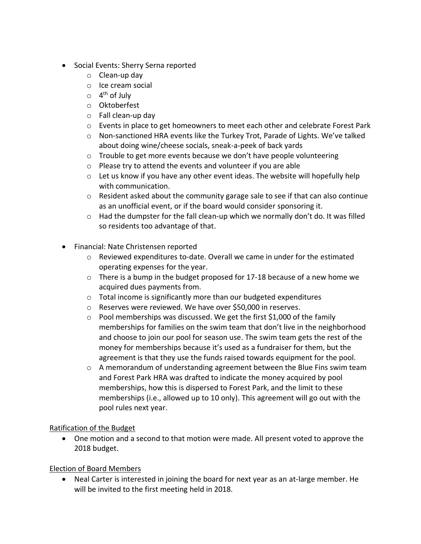- Social Events: Sherry Serna reported
	- o Clean-up day
	- o Ice cream social
	- o 4<sup>th</sup> of July
	- o Oktoberfest
	- o Fall clean-up day
	- $\circ$  Events in place to get homeowners to meet each other and celebrate Forest Park
	- o Non-sanctioned HRA events like the Turkey Trot, Parade of Lights. We've talked about doing wine/cheese socials, sneak-a-peek of back yards
	- o Trouble to get more events because we don't have people volunteering
	- o Please try to attend the events and volunteer if you are able
	- $\circ$  Let us know if you have any other event ideas. The website will hopefully help with communication.
	- $\circ$  Resident asked about the community garage sale to see if that can also continue as an unofficial event, or if the board would consider sponsoring it.
	- $\circ$  Had the dumpster for the fall clean-up which we normally don't do. It was filled so residents too advantage of that.
- Financial: Nate Christensen reported
	- $\circ$  Reviewed expenditures to-date. Overall we came in under for the estimated operating expenses for the year.
	- $\circ$  There is a bump in the budget proposed for 17-18 because of a new home we acquired dues payments from.
	- o Total income is significantly more than our budgeted expenditures
	- o Reserves were reviewed. We have over \$50,000 in reserves.
	- o Pool memberships was discussed. We get the first \$1,000 of the family memberships for families on the swim team that don't live in the neighborhood and choose to join our pool for season use. The swim team gets the rest of the money for memberships because it's used as a fundraiser for them, but the agreement is that they use the funds raised towards equipment for the pool.
	- $\circ$  A memorandum of understanding agreement between the Blue Fins swim team and Forest Park HRA was drafted to indicate the money acquired by pool memberships, how this is dispersed to Forest Park, and the limit to these memberships (i.e., allowed up to 10 only). This agreement will go out with the pool rules next year.

## Ratification of the Budget

• One motion and a second to that motion were made. All present voted to approve the 2018 budget.

#### Election of Board Members

• Neal Carter is interested in joining the board for next year as an at-large member. He will be invited to the first meeting held in 2018.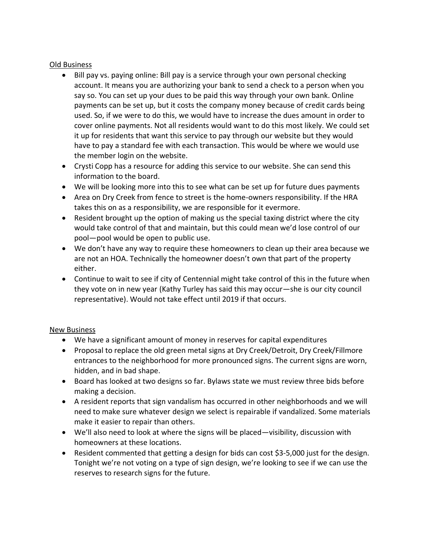#### Old Business

- Bill pay vs. paying online: Bill pay is a service through your own personal checking account. It means you are authorizing your bank to send a check to a person when you say so. You can set up your dues to be paid this way through your own bank. Online payments can be set up, but it costs the company money because of credit cards being used. So, if we were to do this, we would have to increase the dues amount in order to cover online payments. Not all residents would want to do this most likely. We could set it up for residents that want this service to pay through our website but they would have to pay a standard fee with each transaction. This would be where we would use the member login on the website.
- Crysti Copp has a resource for adding this service to our website. She can send this information to the board.
- We will be looking more into this to see what can be set up for future dues payments
- Area on Dry Creek from fence to street is the home-owners responsibility. If the HRA takes this on as a responsibility, we are responsible for it evermore.
- Resident brought up the option of making us the special taxing district where the city would take control of that and maintain, but this could mean we'd lose control of our pool—pool would be open to public use.
- We don't have any way to require these homeowners to clean up their area because we are not an HOA. Technically the homeowner doesn't own that part of the property either.
- Continue to wait to see if city of Centennial might take control of this in the future when they vote on in new year (Kathy Turley has said this may occur—she is our city council representative). Would not take effect until 2019 if that occurs.

#### New Business

- We have a significant amount of money in reserves for capital expenditures
- Proposal to replace the old green metal signs at Dry Creek/Detroit, Dry Creek/Fillmore entrances to the neighborhood for more pronounced signs. The current signs are worn, hidden, and in bad shape.
- Board has looked at two designs so far. Bylaws state we must review three bids before making a decision.
- A resident reports that sign vandalism has occurred in other neighborhoods and we will need to make sure whatever design we select is repairable if vandalized. Some materials make it easier to repair than others.
- We'll also need to look at where the signs will be placed—visibility, discussion with homeowners at these locations.
- Resident commented that getting a design for bids can cost \$3-5,000 just for the design. Tonight we're not voting on a type of sign design, we're looking to see if we can use the reserves to research signs for the future.